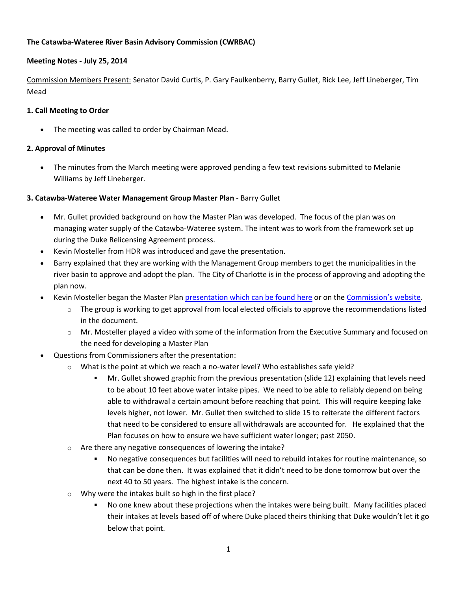### **The Catawba-Wateree River Basin Advisory Commission (CWRBAC)**

### **Meeting Notes - July 25, 2014**

Commission Members Present: Senator David Curtis, P. Gary Faulkenberry, Barry Gullet, Rick Lee, Jeff Lineberger, Tim Mead

#### **1. Call Meeting to Order**

The meeting was called to order by Chairman Mead.

### **2. Approval of Minutes**

 The minutes from the March meeting were approved pending a few text revisions submitted to Melanie Williams by Jeff Lineberger.

### **3. Catawba-Wateree Water Management Group Master Plan** - Barry Gullet

- Mr. Gullet provided background on how the Master Plan was developed. The focus of the plan was on managing water supply of the Catawba-Wateree system. The intent was to work from the framework set up during the Duke Relicensing Agreement process.
- Kevin Mosteller from HDR was introduced and gave the presentation.
- Barry explained that they are working with the Management Group members to get the municipalities in the river basin to approve and adopt the plan. The City of Charlotte is in the process of approving and adopting the plan now.
- Kevin Mosteller began the Master Plan [presentation which can be found here](http://portal.ncdenr.org/c/document_library/get_file?p_l_id=38446&folderId=22785295&name=DLFE-103842.pdf) or on the [Commission's website](http://portal.ncdenr.org/web/wq/river-basin-avdisory-commission/catawbarbac).
	- $\circ$  The group is working to get approval from local elected officials to approve the recommendations listed in the document.
	- o Mr. Mosteller played a video with some of the information from the Executive Summary and focused on the need for developing a Master Plan
- Questions from Commissioners after the presentation:
	- $\circ$  What is the point at which we reach a no-water level? Who establishes safe yield?
		- Mr. Gullet showed graphic from the previous presentation (slide 12) explaining that levels need to be about 10 feet above water intake pipes. We need to be able to reliably depend on being able to withdrawal a certain amount before reaching that point. This will require keeping lake levels higher, not lower. Mr. Gullet then switched to slide 15 to reiterate the different factors that need to be considered to ensure all withdrawals are accounted for. He explained that the Plan focuses on how to ensure we have sufficient water longer; past 2050.
	- o Are there any negative consequences of lowering the intake?
		- No negative consequences but facilities will need to rebuild intakes for routine maintenance, so that can be done then. It was explained that it didn't need to be done tomorrow but over the next 40 to 50 years. The highest intake is the concern.
	- Why were the intakes built so high in the first place?
		- No one knew about these projections when the intakes were being built. Many facilities placed their intakes at levels based off of where Duke placed theirs thinking that Duke wouldn't let it go below that point.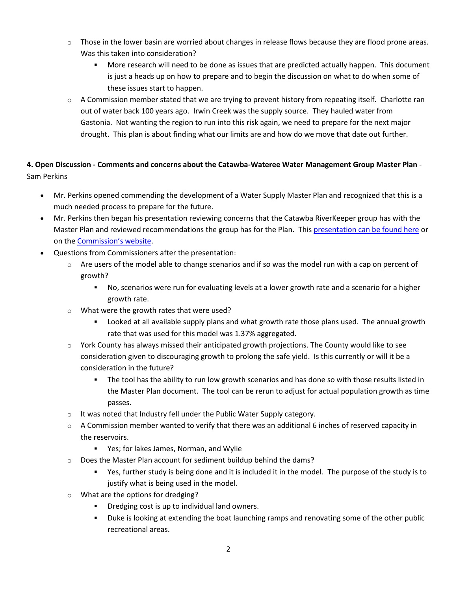- $\circ$  Those in the lower basin are worried about changes in release flows because they are flood prone areas. Was this taken into consideration?
	- More research will need to be done as issues that are predicted actually happen. This document is just a heads up on how to prepare and to begin the discussion on what to do when some of these issues start to happen.
- $\circ$  A Commission member stated that we are trying to prevent history from repeating itself. Charlotte ran out of water back 100 years ago. Irwin Creek was the supply source. They hauled water from Gastonia. Not wanting the region to run into this risk again, we need to prepare for the next major drought. This plan is about finding what our limits are and how do we move that date out further.

# **4. Open Discussion - Comments and concerns about the Catawba-Wateree Water Management Group Master Plan** - Sam Perkins

- Mr. Perkins opened commending the development of a Water Supply Master Plan and recognized that this is a much needed process to prepare for the future.
- Mr. Perkins then began his presentation reviewing concerns that the Catawba RiverKeeper group has with the Master Plan and reviewed recommendations the group has for the Plan. This [presentation can be found here](http://portal.ncdenr.org/c/document_library/get_file?p_l_id=38446&folderId=22785295&name=DLFE-103841.pdf) or on the [Commission's website](http://portal.ncdenr.org/web/wq/river-basin-avdisory-commission/catawbarbac).
- Questions from Commissioners after the presentation:
	- $\circ$  Are users of the model able to change scenarios and if so was the model run with a cap on percent of growth?
		- No, scenarios were run for evaluating levels at a lower growth rate and a scenario for a higher growth rate.
	- o What were the growth rates that were used?
		- Looked at all available supply plans and what growth rate those plans used. The annual growth rate that was used for this model was 1.37% aggregated.
	- o York County has always missed their anticipated growth projections. The County would like to see consideration given to discouraging growth to prolong the safe yield. Is this currently or will it be a consideration in the future?
		- The tool has the ability to run low growth scenarios and has done so with those results listed in the Master Plan document. The tool can be rerun to adjust for actual population growth as time passes.
	- o It was noted that Industry fell under the Public Water Supply category.
	- $\circ$  A Commission member wanted to verify that there was an additional 6 inches of reserved capacity in the reservoirs.
		- Yes; for lakes James, Norman, and Wylie
	- o Does the Master Plan account for sediment buildup behind the dams?
		- Yes, further study is being done and it is included it in the model. The purpose of the study is to justify what is being used in the model.
	- o What are the options for dredging?
		- Dredging cost is up to individual land owners.
		- Duke is looking at extending the boat launching ramps and renovating some of the other public recreational areas.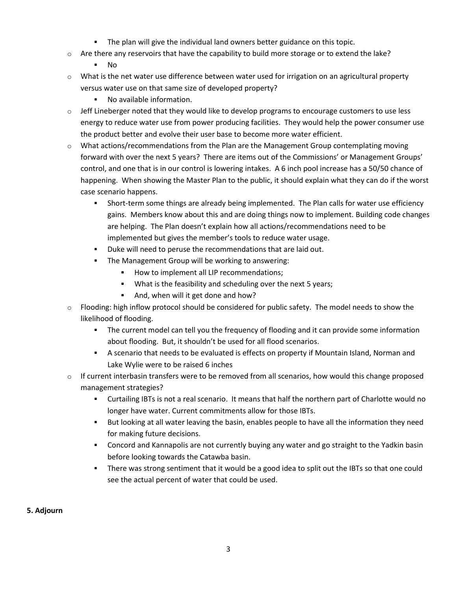- The plan will give the individual land owners better guidance on this topic.
- $\circ$  Are there any reservoirs that have the capability to build more storage or to extend the lake?
	- No
- $\circ$  What is the net water use difference between water used for irrigation on an agricultural property versus water use on that same size of developed property?
	- No available information.
- $\circ$  Jeff Lineberger noted that they would like to develop programs to encourage customers to use less energy to reduce water use from power producing facilities. They would help the power consumer use the product better and evolve their user base to become more water efficient.
- $\circ$  What actions/recommendations from the Plan are the Management Group contemplating moving forward with over the next 5 years? There are items out of the Commissions' or Management Groups' control, and one that is in our control is lowering intakes. A 6 inch pool increase has a 50/50 chance of happening. When showing the Master Plan to the public, it should explain what they can do if the worst case scenario happens.
	- Short-term some things are already being implemented. The Plan calls for water use efficiency gains. Members know about this and are doing things now to implement. Building code changes are helping. The Plan doesn't explain how all actions/recommendations need to be implemented but gives the member's tools to reduce water usage.
	- Duke will need to peruse the recommendations that are laid out.
	- **The Management Group will be working to answering:** 
		- How to implement all LIP recommendations;
		- What is the feasibility and scheduling over the next 5 years;
		- And, when will it get done and how?
- $\circ$  Flooding: high inflow protocol should be considered for public safety. The model needs to show the likelihood of flooding.
	- The current model can tell you the frequency of flooding and it can provide some information about flooding. But, it shouldn't be used for all flood scenarios.
	- A scenario that needs to be evaluated is effects on property if Mountain Island, Norman and Lake Wylie were to be raised 6 inches
- $\circ$  If current interbasin transfers were to be removed from all scenarios, how would this change proposed management strategies?
	- Curtailing IBTs is not a real scenario. It means that half the northern part of Charlotte would no longer have water. Current commitments allow for those IBTs.
	- But looking at all water leaving the basin, enables people to have all the information they need for making future decisions.
	- Concord and Kannapolis are not currently buying any water and go straight to the Yadkin basin before looking towards the Catawba basin.
	- There was strong sentiment that it would be a good idea to split out the IBTs so that one could see the actual percent of water that could be used.

## **5. Adjourn**